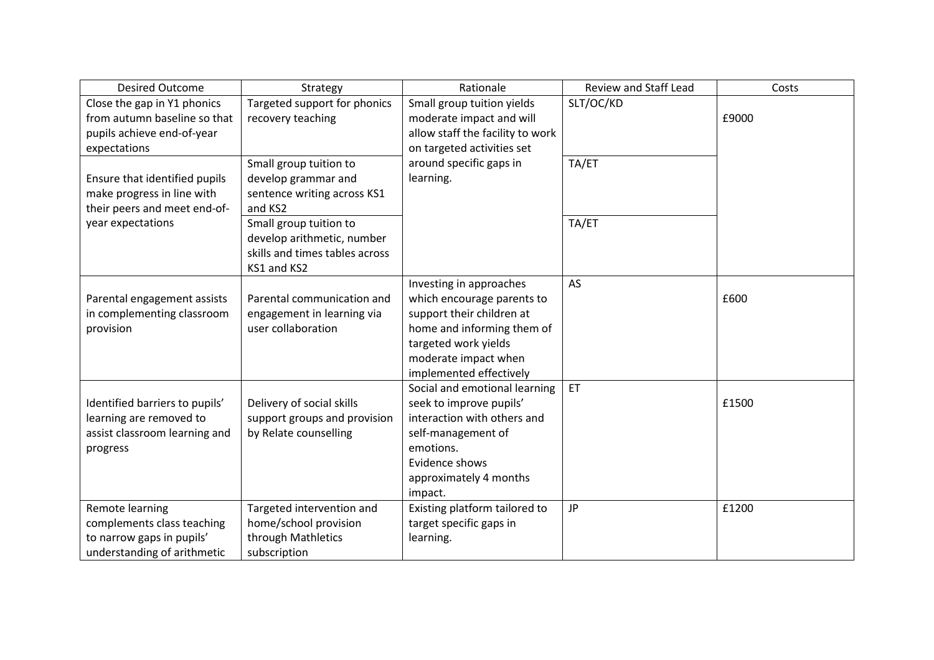| <b>Desired Outcome</b>                                                                                    | Strategy                                                                                              | Rationale                                                                                                                                                                                   | Review and Staff Lead | Costs |
|-----------------------------------------------------------------------------------------------------------|-------------------------------------------------------------------------------------------------------|---------------------------------------------------------------------------------------------------------------------------------------------------------------------------------------------|-----------------------|-------|
| Close the gap in Y1 phonics<br>from autumn baseline so that<br>pupils achieve end-of-year<br>expectations | Targeted support for phonics<br>recovery teaching                                                     | Small group tuition yields<br>moderate impact and will<br>allow staff the facility to work<br>on targeted activities set                                                                    | SLT/OC/KD             | £9000 |
| Ensure that identified pupils<br>make progress in line with<br>their peers and meet end-of-               | Small group tuition to<br>develop grammar and<br>sentence writing across KS1<br>and KS2               | around specific gaps in<br>learning.                                                                                                                                                        | TA/ET                 |       |
| year expectations                                                                                         | Small group tuition to<br>develop arithmetic, number<br>skills and times tables across<br>KS1 and KS2 |                                                                                                                                                                                             | TA/ET                 |       |
| Parental engagement assists<br>in complementing classroom<br>provision                                    | Parental communication and<br>engagement in learning via<br>user collaboration                        | Investing in approaches<br>which encourage parents to<br>support their children at<br>home and informing them of<br>targeted work yields<br>moderate impact when<br>implemented effectively | AS                    | £600  |
| Identified barriers to pupils'<br>learning are removed to<br>assist classroom learning and<br>progress    | Delivery of social skills<br>support groups and provision<br>by Relate counselling                    | Social and emotional learning<br>seek to improve pupils'<br>interaction with others and<br>self-management of<br>emotions.<br>Evidence shows<br>approximately 4 months<br>impact.           | ET                    | £1500 |
| Remote learning<br>complements class teaching<br>to narrow gaps in pupils'<br>understanding of arithmetic | Targeted intervention and<br>home/school provision<br>through Mathletics<br>subscription              | Existing platform tailored to<br>target specific gaps in<br>learning.                                                                                                                       | <b>JP</b>             | £1200 |